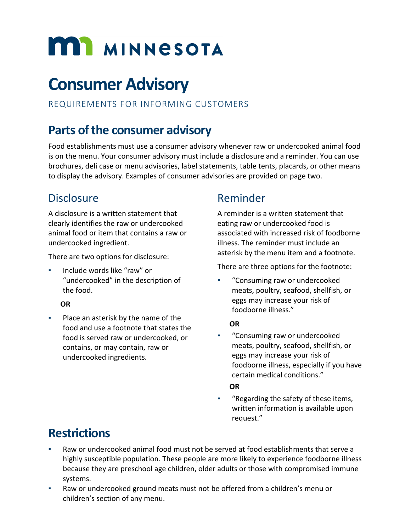# **MI MINNESOTA**

## **Consumer Advisory**

### REQUIREMENTS FOR INFORMING CUSTOMERS

## **Parts of the consumer advisory**

Food establishments must use a consumer advisory whenever raw or undercooked animal food is on the menu. Your consumer advisory must include a disclosure and a reminder. You can use brochures, deli case or menu advisories, label statements, table tents, placards, or other means to display the advisory. Examples of consumer advisories are provided on page two.

## **Disclosure**

A disclosure is a written statement that clearly identifies the raw or undercooked animal food or item that contains a raw or undercooked ingredient.

There are two options for disclosure:

▪ Include words like "raw" or "undercooked" in the description of the food.

#### **OR**

Place an asterisk by the name of the food and use a footnote that states the food is served raw or undercooked, or contains, or may contain, raw or undercooked ingredients.

## Reminder

A reminder is a written statement that eating raw or undercooked food is associated with increased risk of foodborne illness. The reminder must include an asterisk by the menu item and a footnote.

There are three options for the footnote:

"Consuming raw or undercooked meats, poultry, seafood, shellfish, or eggs may increase your risk of foodborne illness."

#### **OR**

"Consuming raw or undercooked meats, poultry, seafood, shellfish, or eggs may increase your risk of foodborne illness, especially if you have certain medical conditions."

#### **OR**

"Regarding the safety of these items, written information is available upon request."

## **Restrictions**

- Raw or undercooked animal food must not be served at food establishments that serve a highly susceptible population. These people are more likely to experience foodborne illness because they are preschool age children, older adults or those with compromised immune systems.
- Raw or undercooked ground meats must not be offered from a children's menu or children's section of any menu.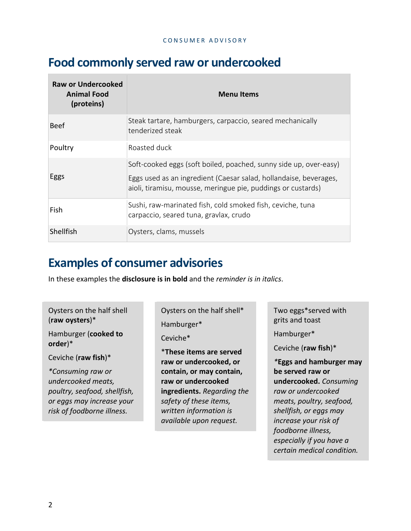## **Food commonly served raw or undercooked**

| <b>Raw or Undercooked</b><br><b>Animal Food</b><br>(proteins) | <b>Menu Items</b>                                                                                                                                                                                      |
|---------------------------------------------------------------|--------------------------------------------------------------------------------------------------------------------------------------------------------------------------------------------------------|
| <b>Beef</b>                                                   | Steak tartare, hamburgers, carpaccio, seared mechanically<br>tenderized steak                                                                                                                          |
| Poultry                                                       | Roasted duck                                                                                                                                                                                           |
| Eggs                                                          | Soft-cooked eggs (soft boiled, poached, sunny side up, over-easy)<br>Eggs used as an ingredient (Caesar salad, hollandaise, beverages,<br>aioli, tiramisu, mousse, meringue pie, puddings or custards) |
| Fish                                                          | Sushi, raw-marinated fish, cold smoked fish, ceviche, tuna<br>carpaccio, seared tuna, gravlax, crudo                                                                                                   |
| Shellfish                                                     | Oysters, clams, mussels                                                                                                                                                                                |

## **Examples of consumer advisories**

In these examples the **disclosure is in bold** and the *reminder is in italics*.

#### Oysters on the half shell (**raw oysters**)\*

Hamburger (**cooked to order**)\*

Ceviche (**raw fish**)\*

*\*Consuming raw or undercooked meats, poultry, seafood, shellfish, or eggs may increase your risk of foodborne illness.*

Oysters on the half shell\*

Hamburger\*

Ceviche\*

\***These items are served raw or undercooked, or contain, or may contain, raw or undercooked ingredients.** *Regarding the safety of these items, written information is available upon request.*

Two eggs\*served with grits and toast

Hamburger\*

Ceviche (**raw fish**)\*

*\****Eggs and hamburger may be served raw or undercooked.** *Consuming raw or undercooked meats, poultry, seafood, shellfish, or eggs may increase your risk of foodborne illness, especially if you have a certain medical condition.*